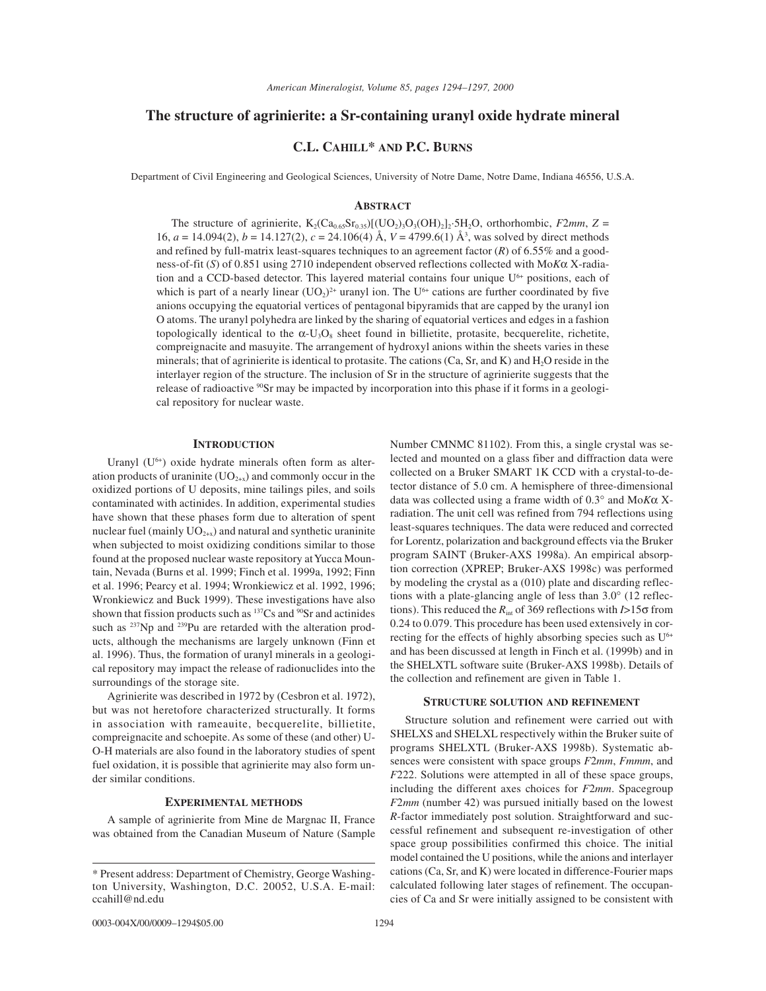# **The structure of agrinierite: a Sr-containing uranyl oxide hydrate mineral**

# **C.L. CAHILL\* AND P.C. BURNS**

Department of Civil Engineering and Geological Sciences, University of Notre Dame, Notre Dame, Indiana 46556, U.S.A.

## **ABSTRACT**

The structure of agrinierite,  $K_2(Ca_{0.65}Sr_{0.35})[(UO_2)_3O_3(OH)_2]_2.5H_2O$ , orthorhombic, *F2mm*,  $Z =$ 16,  $a = 14.094(2)$ ,  $b = 14.127(2)$ ,  $c = 24.106(4)$  Å,  $V = 4799.6(1)$  Å<sup>3</sup>, was solved by direct methods and refined by full-matrix least-squares techniques to an agreement factor (*R*) of 6.55% and a goodness-of-fit (*S*) of 0.851 using 2710 independent observed reflections collected with Mo*K*α X-radiation and a CCD-based detector. This layered material contains four unique  $U<sup>6+</sup>$  positions, each of which is part of a nearly linear  $(UO_2)^{2+}$  uranyl ion. The U<sup>6+</sup> cations are further coordinated by five anions occupying the equatorial vertices of pentagonal bipyramids that are capped by the uranyl ion O atoms. The uranyl polyhedra are linked by the sharing of equatorial vertices and edges in a fashion topologically identical to the  $\alpha$ -U<sub>3</sub>O<sub>8</sub> sheet found in billietite, protasite, becquerelite, richetite, compreignacite and masuyite. The arrangement of hydroxyl anions within the sheets varies in these minerals; that of agrinierite is identical to protasite. The cations  $(Ca, Sr, and K)$  and  $H<sub>2</sub>O$  reside in the interlayer region of the structure. The inclusion of Sr in the structure of agrinierite suggests that the release of radioactive <sup>90</sup>Sr may be impacted by incorporation into this phase if it forms in a geological repository for nuclear waste.

## **INTRODUCTION**

Uranyl  $(U<sup>6+</sup>)$  oxide hydrate minerals often form as alteration products of uraninite  $(UO<sub>2+x</sub>)$  and commonly occur in the oxidized portions of U deposits, mine tailings piles, and soils contaminated with actinides. In addition, experimental studies have shown that these phases form due to alteration of spent nuclear fuel (mainly  $UO_{2+x}$ ) and natural and synthetic uraninite when subjected to moist oxidizing conditions similar to those found at the proposed nuclear waste repository at Yucca Mountain, Nevada (Burns et al. 1999; Finch et al. 1999a, 1992; Finn et al. 1996; Pearcy et al. 1994; Wronkiewicz et al. 1992, 1996; Wronkiewicz and Buck 1999). These investigations have also shown that fission products such as <sup>137</sup>Cs and <sup>90</sup>Sr and actinides such as  $^{237}$ Np and  $^{239}$ Pu are retarded with the alteration products, although the mechanisms are largely unknown (Finn et al. 1996). Thus, the formation of uranyl minerals in a geological repository may impact the release of radionuclides into the surroundings of the storage site.

Agrinierite was described in 1972 by (Cesbron et al. 1972), but was not heretofore characterized structurally. It forms in association with rameauite, becquerelite, billietite, compreignacite and schoepite. As some of these (and other) U-O-H materials are also found in the laboratory studies of spent fuel oxidation, it is possible that agrinierite may also form under similar conditions.

### **EXPERIMENTAL METHODS**

A sample of agrinierite from Mine de Margnac II, France was obtained from the Canadian Museum of Nature (Sample

Number CMNMC 81102). From this, a single crystal was selected and mounted on a glass fiber and diffraction data were collected on a Bruker SMART 1K CCD with a crystal-to-detector distance of 5.0 cm. A hemisphere of three-dimensional data was collected using a frame width of 0.3° and Mo*K*α Xradiation. The unit cell was refined from 794 reflections using least-squares techniques. The data were reduced and corrected for Lorentz, polarization and background effects via the Bruker program SAINT (Bruker-AXS 1998a). An empirical absorption correction (XPREP; Bruker-AXS 1998c) was performed by modeling the crystal as a (010) plate and discarding reflections with a plate-glancing angle of less than 3.0° (12 reflections). This reduced the *R*int of 369 reflections with *I*>15σ from 0.24 to 0.079. This procedure has been used extensively in correcting for the effects of highly absorbing species such as  $U^{6+}$ and has been discussed at length in Finch et al. (1999b) and in the SHELXTL software suite (Bruker-AXS 1998b). Details of the collection and refinement are given in Table 1.

#### **STRUCTURE SOLUTION AND REFINEMENT**

Structure solution and refinement were carried out with SHELXS and SHELXL respectively within the Bruker suite of programs SHELXTL (Bruker-AXS 1998b). Systematic absences were consistent with space groups *F*2*mm*, *Fmmm*, and *F*222. Solutions were attempted in all of these space groups, including the different axes choices for *F*2*mm*. Spacegroup *F*2*mm* (number 42) was pursued initially based on the lowest *R*-factor immediately post solution. Straightforward and successful refinement and subsequent re-investigation of other space group possibilities confirmed this choice. The initial model contained the U positions, while the anions and interlayer cations (Ca, Sr, and K) were located in difference-Fourier maps calculated following later stages of refinement. The occupancies of Ca and Sr were initially assigned to be consistent with

<sup>\*</sup> Present address: Department of Chemistry, George Washington University, Washington, D.C. 20052, U.S.A. E-mail: ccahill@nd.edu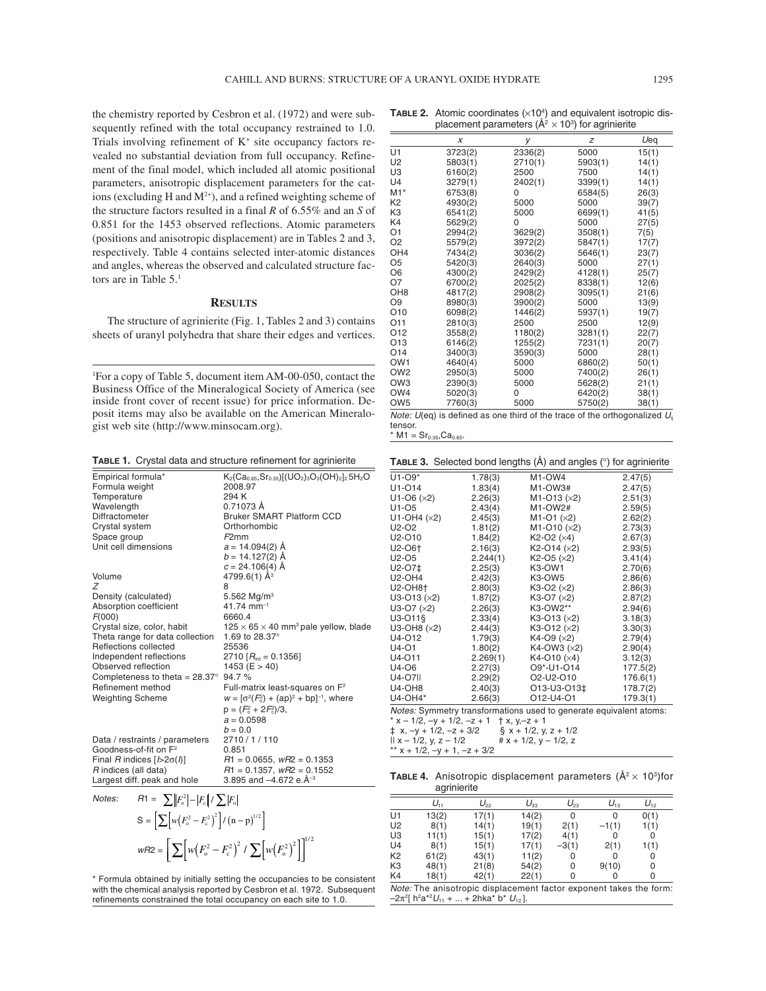the chemistry reported by Cesbron et al. (1972) and were subsequently refined with the total occupancy restrained to 1.0. Trials involving refinement of  $K^+$  site occupancy factors revealed no substantial deviation from full occupancy. Refinement of the final model, which included all atomic positional parameters, anisotropic displacement parameters for the cations (excluding H and  $M^{2+}$ ), and a refined weighting scheme of the structure factors resulted in a final *R* of 6.55% and an *S* of 0.851 for the 1453 observed reflections. Atomic parameters (positions and anisotropic displacement) are in Tables 2 and 3, respectively. Table 4 contains selected inter-atomic distances and angles, whereas the observed and calculated structure factors are in Table 5.<sup>1</sup>

### **RESULTS**

The structure of agrinierite (Fig. 1, Tables 2 and 3) contains sheets of uranyl polyhedra that share their edges and vertices.

1 For a copy of Table 5, document item AM-00-050, contact the Business Office of the Mineralogical Society of America (see inside front cover of recent issue) for price information. Deposit items may also be available on the American Mineralogist web site (http://www.minsocam.org).

**TABLE 1.** Crystal data and structure refinement for agrinierite

| Empirical formula*                             | $K_2(Ca_{0.65}, Sr_{0.35})[(UO_2)_3O_3(OH)_2]_2.5H_2O$       |
|------------------------------------------------|--------------------------------------------------------------|
| Formula weight                                 | 2008.97                                                      |
| Temperature                                    | 294 K                                                        |
| Wavelength                                     | 0.71073 Å                                                    |
| Diffractometer                                 | <b>Bruker SMART Platform CCD</b>                             |
| Crystal system                                 | Orthorhombic                                                 |
| Space group                                    | F2mm                                                         |
| Unit cell dimensions                           | $a = 14.094(2)$ Å                                            |
|                                                | $b = 14.127(2)$ Å                                            |
|                                                | $c = 24.106(4)$ Å                                            |
| Volume                                         | 4799.6(1) $\AA$ <sup>3</sup>                                 |
| Z                                              | 8                                                            |
| Density (calculated)                           | 5.562 $Mq/m3$                                                |
| Absorption coefficient                         | $41.74$ mm <sup>-1</sup>                                     |
| F(000)                                         | 6660.4                                                       |
| Crystal size, color, habit                     | $125 \times 65 \times 40$ mm <sup>3</sup> pale yellow, blade |
| Theta range for data collection                | 1.69 to 28.37°                                               |
| Reflections collected                          | 25536                                                        |
| Independent reflections                        | 2710 $[R_{\text{int}} = 0.1356]$                             |
| Observed reflection                            | 1453 ( $E > 40$ )                                            |
| Completeness to theta = $28.37^{\circ}$ 94.7 % |                                                              |
| Refinement method                              | Full-matrix least-squares on $F^2$                           |
| <b>Weighting Scheme</b>                        | $W = [\sigma^2(F_0^2) + (ap)^2 + bp]^{-1}$ , where           |
|                                                | $p = (F_0^2 + 2F_0^2)/3$ ,                                   |
|                                                | $a = 0.0598$                                                 |
|                                                | $b = 0.0$                                                    |
| Data / restraints / parameters                 | 2710/1/110                                                   |
| Goodness-of-fit on F <sup>2</sup>              | 0.851                                                        |
| Final R indices $[2\sigma(\hbar)]$             | $R1 = 0.0655$ , $wR2 = 0.1353$                               |
| R indices (all data)                           | $R1 = 0.1357$ , $wR2 = 0.1552$                               |
| Largest diff. peak and hole                    | 3.895 and $-4.672$ e. $\AA^{-3}$                             |

Notes:  $R1 = \sum |F_{\rm o}^2| - |F_{\rm c}| / \sum |F_{\rm o}|$  $S = \left[ \sum w (F_o^2 - F_c^2)^2 \right] / (n-p)^{1/2}$  $wR2 = \left[ \sum \left[ w \left( F_o^2 - F_c^2 \right)^2 / \sum \left[ w \left( F_o^2 \right)^2 \right] \right]^{1/2} \right]$ 

\* Formula obtained by initially setting the occupancies to be consistent with the chemical analysis reported by Cesbron et al. 1972. Subsequent refinements constrained the total occupancy on each site to 1.0.

| <b>TABLE 2.</b> Atomic coordinates $(x10^4)$ and equivalent isotropic dis- |
|----------------------------------------------------------------------------|
| placement parameters ( $\mathring{A}^2 \times 10^3$ ) for agrinierite      |

|                             | X                                  | у                  | z                          | Ueq                  |
|-----------------------------|------------------------------------|--------------------|----------------------------|----------------------|
| U1                          | 3723(2)                            | 2336(2)            | 5000                       | 15(1)                |
| U2                          | 5803(1)                            | 2710(1)            | 5903(1)                    | 14(1)                |
| U3                          | 6160(2)                            | 2500               | 7500                       | 14(1)                |
| U4                          | 3279(1)                            | 2402(1)            | 3399(1)                    | 14(1)                |
| M1*                         | 6753(8)                            | 0                  | 6584(5)                    | 26(3)                |
| K2                          | 4930(2)                            | 5000               | 5000                       | 39(7)                |
| KЗ                          | 6541(2)                            | 5000               | 6699(1)                    | 41(5)                |
| K4                          | 5629(2)                            | $\Omega$           | 5000                       | 27(5)                |
| O1                          | 2994(2)                            | 3629(2)            | 3508(1)                    | 7(5)                 |
| O <sub>2</sub>              | 5579(2)                            | 3972(2)            | 5847(1)                    | 17(7)                |
| OH <sub>4</sub>             | 7434(2)                            | 3036(2)            | 5646(1)                    | 23(7)                |
| O5                          | 5420(3)                            | 2640(3)            | 5000                       | 27(1)                |
| O6                          | 4300(2)                            | 2429(2)            | 4128(1)                    | 25(7)                |
| Ο7                          | 6700(2)                            | 2025(2)            | 8338(1)                    | 12(6)                |
| OH <sub>8</sub>             | 4817(2)                            | 2908(2)            | 3095(1)                    | 21(6)                |
| O9                          | 8980(3)                            | 3900(2)            | 5000                       | 13(9)                |
| O10                         | 6098(2)                            | 1446(2)            | 5937(1)                    | 19(7)                |
| 011                         | 2810(3)                            | 2500               | 2500                       | 12(9)                |
| O12                         | 3558(2)                            | 1180(2)            | 3281(1)                    | 22(7)                |
| O13                         | 6146(2)                            | 1255(2)            | 7231(1)                    | 20(7)                |
| 014                         | 3400(3)                            | 3590(3)            | 5000                       | 28(1)                |
| OW1                         | 4640(4)                            | 5000               | 6860(2)                    | 50(1)                |
| OW <sub>2</sub>             | 2950(3)                            | 5000               | 7400(2)                    | 26(1)                |
| OW3                         | 2390(3)                            | 5000               | 5628(2)                    | 21(1)                |
| OW4                         | 5020(3)                            | 0                  | 6420(2)                    | 38(1)                |
| OW <sub>5</sub>             | 7760(3)                            | 5000               | 5750(2)                    | 38(1)                |
| $\cdots$<br>$\cdot$ $\cdot$ | $\sim$<br>$\cdots$<br>$\mathbf{r}$ | .<br>$\sim$ $\sim$ | $\sim$ $\sim$<br>$\cdot$ . | $\cdots$<br>$\cdots$ |

Note:  $U$ (eq) is defined as one third of the trace of the orthogonalized  $U_{ii}$ tensor.

 $*$  M1 = Sr<sub>0.35</sub>, Ca<sub>0.65</sub>.

**TABLE 3.** Selected bond lengths (Å) and angles (°) for agrinierite

| $U1-O9*$                                                           | 1.78(3)  | M1-OW4                 | 2.47(5)  |  |
|--------------------------------------------------------------------|----------|------------------------|----------|--|
| U1-014                                                             | 1.83(4)  | M1-OW3#                | 2.47(5)  |  |
| $U1-O6$ ( $\times 2$ )                                             | 2.26(3)  | $M1-O13 (×2)$          | 2.51(3)  |  |
| U1-05                                                              | 2.43(4)  | M1-OW2#                | 2.59(5)  |  |
| U1-OH4 $(x2)$                                                      | 2.45(3)  | $M1-O1 (×2)$           | 2.62(2)  |  |
| U2-O2                                                              | 1.81(2)  | $M1-O10 (×2)$          | 2.73(3)  |  |
| U2-O10                                                             | 1.84(2)  | $K2-O2 (×4)$           | 2.67(3)  |  |
| U2-O6 <sup>+</sup>                                                 | 2.16(3)  | $K2-O14 (×2)$          | 2.93(5)  |  |
| U2-05                                                              | 2.244(1) | $K2-O5$ ( $\times 2$ ) | 3.41(4)  |  |
| U2-O7‡                                                             | 2.25(3)  | K3-OW1                 | 2.70(6)  |  |
| <b>U2-OH4</b>                                                      | 2.42(3)  | K3-OW5                 | 2.86(6)  |  |
| <b>U2-OH8+</b>                                                     | 2.80(3)  | $K3-O2 (×2)$           | 2.86(3)  |  |
| $U3-O13 (×2)$                                                      | 1.87(2)  | $K3-O7 (×2)$           | 2.87(2)  |  |
| $U3-O7 (×2)$                                                       | 2.26(3)  | K3-OW2**               | 2.94(6)  |  |
| U3-011§                                                            | 2.33(4)  | $K3-O13 (×2)$          | 3.18(3)  |  |
| U3-OH8 $(x2)$                                                      | 2.44(3)  | $K3-O12 (×2)$          | 3.30(3)  |  |
| U4-012                                                             | 1.79(3)  | $K4-O9 (×2)$           | 2.79(4)  |  |
| U4-01                                                              | 1.80(2)  | K4-OW3 (×2)            | 2.90(4)  |  |
| U4-011                                                             | 2.269(1) | $K4-O10(x4)$           | 3.12(3)  |  |
| U4-06                                                              | 2.27(3)  | O9*-U1-O14             | 177.5(2) |  |
| U4-07                                                              | 2.29(2)  | O2-U2-O10              | 176.6(1) |  |
| <b>U4-OH8</b>                                                      | 2.40(3)  | O13-U3-O13‡            | 178.7(2) |  |
| U4-OH4*                                                            | 2.66(3)  | O12-U4-O1              | 179.3(1) |  |
| Notes: Symmetry transformations used to generate equivalent atoms: |          |                        |          |  |
| * x - 1/2, -y + 1/2, -z + 1 $\uparrow$ x, y, -z + 1                |          |                        |          |  |
| $\pm$ x, -y + 1/2, -z + 3/2 § x + 1/2, y, z + 1/2                  |          |                        |          |  |
| $   x - 1/2, y, z - 1/2$<br># $x + 1/2$ , $y - 1/2$ , z            |          |                        |          |  |
| ** $x + 1/2$ , $-y + 1$ , $-z + 3/2$                               |          |                        |          |  |

**TABLE 4.** Anisotropic displacement parameters  $(\mathring{A}^2 \times 10^3)$ for agrinierite

|                                                                    | $U_{11}$ | $U_{22}$ | $U_{33}$ | $U_{23}$ | $U_{13}$ | $U_{12}$ |
|--------------------------------------------------------------------|----------|----------|----------|----------|----------|----------|
| U1                                                                 | 13(2)    | 17(1)    | 14(2)    | 0        | 0        | 0(1)     |
| U <sub>2</sub>                                                     | 8(1)     | 14(1)    | 19(1)    | 2(1)     | $-1(1)$  | 1(1)     |
| U3                                                                 | 11(1)    | 15(1)    | 17(2)    | 4(1)     | 0        | 0        |
| U <sub>4</sub>                                                     | 8(1)     | 15(1)    | 17(1)    | $-3(1)$  | 2(1)     | 1(1)     |
| K <sub>2</sub>                                                     | 61(2)    | 43(1)    | 11(2)    | 0        | 0        | 0        |
| K <sub>3</sub>                                                     | 48(1)    | 21(8)    | 54(2)    | 0        | 9(10)    | 0        |
| K4                                                                 | 18(1)    | 42(1)    | 22(1)    | $\Omega$ |          | 0        |
| Note: The anisotropic displacement factor exponent takes the form: |          |          |          |          |          |          |

 $-2π<sup>2</sup>[h<sup>2</sup>a<sup>*</sup>*2*U<sub>11</sub> + ... + 2hka<sup>*</sup>b<sup>*</sup>U<sub>12</sub>].$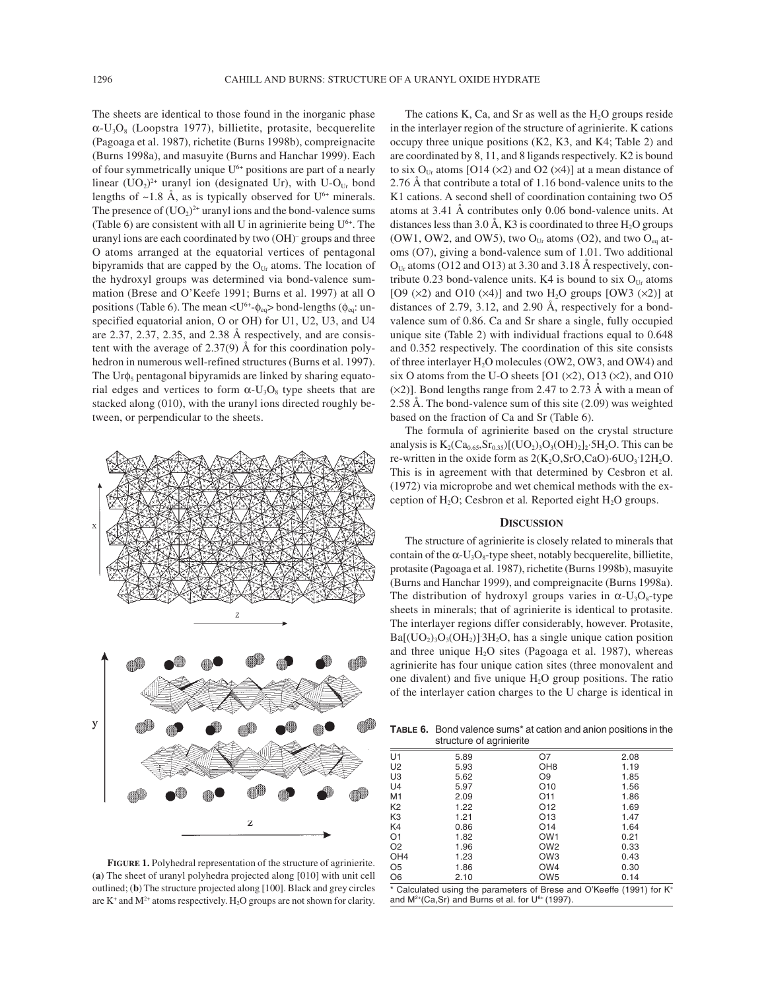The sheets are identical to those found in the inorganic phase  $\alpha$ -U<sub>3</sub>O<sub>8</sub> (Loopstra 1977), billietite, protasite, becquerelite (Pagoaga et al. 1987), richetite (Burns 1998b), compreignacite (Burns 1998a), and masuyite (Burns and Hanchar 1999). Each of four symmetrically unique  $U^{6+}$  positions are part of a nearly linear  $(UO_2)^{2+}$  uranyl ion (designated Ur), with U-O<sub>Ur</sub> bond lengths of  $\sim$ 1.8 Å, as is typically observed for U<sup>6+</sup> minerals. The presence of  $(UO<sub>2</sub>)<sup>2+</sup>$  uranyl ions and the bond-valence sums (Table 6) are consistent with all U in agrinierite being  $U^{6+}$ . The uranyl ions are each coordinated by two (OH)– groups and three O atoms arranged at the equatorial vertices of pentagonal bipyramids that are capped by the  $O<sub>Ur</sub>$  atoms. The location of the hydroxyl groups was determined via bond-valence summation (Brese and O'Keefe 1991; Burns et al. 1997) at all O positions (Table 6). The mean  $\langle U^{6+} \phi_{eq} \rangle$  bond-lengths ( $\phi_{eq}$ : unspecified equatorial anion, O or OH) for U1, U2, U3, and U4 are 2.37, 2.37, 2.35, and 2.38 Å respectively, and are consistent with the average of 2.37(9) Å for this coordination polyhedron in numerous well-refined structures (Burns et al. 1997). The Ur $\phi$ <sub>5</sub> pentagonal bipyramids are linked by sharing equatorial edges and vertices to form  $\alpha$ -U<sub>3</sub>O<sub>8</sub> type sheets that are stacked along (010), with the uranyl ions directed roughly between, or perpendicular to the sheets.



**FIGURE 1.** Polyhedral representation of the structure of agrinierite. (**a**) The sheet of uranyl polyhedra projected along [010] with unit cell outlined; (**b**) The structure projected along [100]. Black and grey circles are  $K^+$  and  $M^{2+}$  atoms respectively.  $H_2O$  groups are not shown for clarity.

The cations K, Ca, and Sr as well as the  $H_2O$  groups reside in the interlayer region of the structure of agrinierite. K cations occupy three unique positions (K2, K3, and K4; Table 2) and are coordinated by 8, 11, and 8 ligands respectively. K2 is bound to six O<sub>Ur</sub> atoms [O14 ( $\times$ 2) and O2 ( $\times$ 4)] at a mean distance of 2.76 Å that contribute a total of 1.16 bond-valence units to the K1 cations. A second shell of coordination containing two O5 atoms at 3.41 Å contributes only 0.06 bond-valence units. At distances less than 3.0 Å, K3 is coordinated to three  $H<sub>2</sub>O$  groups (OW1, OW2, and OW5), two  $O<sub>Ur</sub>$  atoms (O2), and two  $O<sub>eq</sub>$  atoms (O7), giving a bond-valence sum of 1.01. Two additional  $O_{Ur}$  atoms (O12 and O13) at 3.30 and 3.18 Å respectively, contribute 0.23 bond-valence units. K4 is bound to six  $O_{Ur}$  atoms [O9 ( $\times$ 2) and O10 ( $\times$ 4)] and two H<sub>2</sub>O groups [OW3 ( $\times$ 2)] at distances of 2.79, 3.12, and 2.90 Å, respectively for a bondvalence sum of 0.86. Ca and Sr share a single, fully occupied unique site (Table 2) with individual fractions equal to 0.648 and 0.352 respectively. The coordination of this site consists of three interlayer H<sub>2</sub>O molecules (OW2, OW3, and OW4) and six O atoms from the U-O sheets  $[O1 (x2), O13 (x2),$  and  $O10$  $(x2)$ ]. Bond lengths range from 2.47 to 2.73 Å with a mean of 2.58 Å. The bond-valence sum of this site (2.09) was weighted based on the fraction of Ca and Sr (Table 6).

The formula of agrinierite based on the crystal structure analysis is  $K_2(Ca_{0.65}, Sr_{0.35})[(UO_2)_3O_3(OH)_2]_2.5H_2O$ . This can be re-written in the oxide form as  $2(K_2O, SrO, CaO) \cdot 6UO_3 \cdot 12H_2O$ . This is in agreement with that determined by Cesbron et al. (1972) via microprobe and wet chemical methods with the exception of H<sub>2</sub>O; Cesbron et al. Reported eight H<sub>2</sub>O groups.

# **DISCUSSION**

The structure of agrinierite is closely related to minerals that contain of the  $\alpha$ -U<sub>3</sub>O<sub>8</sub>-type sheet, notably becquerelite, billietite, protasite (Pagoaga et al. 1987), richetite (Burns 1998b), masuyite (Burns and Hanchar 1999), and compreignacite (Burns 1998a). The distribution of hydroxyl groups varies in  $\alpha$ -U<sub>3</sub>O<sub>8</sub>-type sheets in minerals; that of agrinierite is identical to protasite. The interlayer regions differ considerably, however. Protasite,  $Ba[(UO<sub>2</sub>)<sub>3</sub>O<sub>3</sub>(OH<sub>2</sub>)]$  3H<sub>2</sub>O, has a single unique cation position and three unique  $H_2O$  sites (Pagoaga et al. 1987), whereas agrinierite has four unique cation sites (three monovalent and one divalent) and five unique  $H_2O$  group positions. The ratio of the interlayer cation charges to the U charge is identical in

**TABLE 6.** Bond valence sums\* at cation and anion positions in the structure of agrinierite

|                 | ັ    |                                                                      |      |
|-----------------|------|----------------------------------------------------------------------|------|
| U1              | 5.89 | Ο7                                                                   | 2.08 |
| U <sub>2</sub>  | 5.93 | OH <sub>8</sub>                                                      | 1.19 |
| U3              | 5.62 | O <sub>9</sub>                                                       | 1.85 |
| U <sub>4</sub>  | 5.97 | O <sub>10</sub>                                                      | 1.56 |
| M1              | 2.09 | O11                                                                  | 1.86 |
| K <sub>2</sub>  | 1.22 | O <sub>12</sub>                                                      | 1.69 |
| K3              | 1.21 | O <sub>13</sub>                                                      | 1.47 |
| K4              | 0.86 | O14                                                                  | 1.64 |
| O <sub>1</sub>  | 1.82 | OW <sub>1</sub>                                                      | 0.21 |
| O <sub>2</sub>  | 1.96 | OW <sub>2</sub>                                                      | 0.33 |
| OH <sub>4</sub> | 1.23 | OW <sub>3</sub>                                                      | 0.43 |
| O <sub>5</sub>  | 1.86 | OW4                                                                  | 0.30 |
| O6              | 2.10 | OW <sub>5</sub>                                                      | 0.14 |
|                 |      | * Calculated using the parameters of Brese and O'Keeffe (1991) for K |      |

e (1991) and  $M^{2+}(Ca,Sr)$  and Burns et al. for  $U^{6+}(1997)$ .